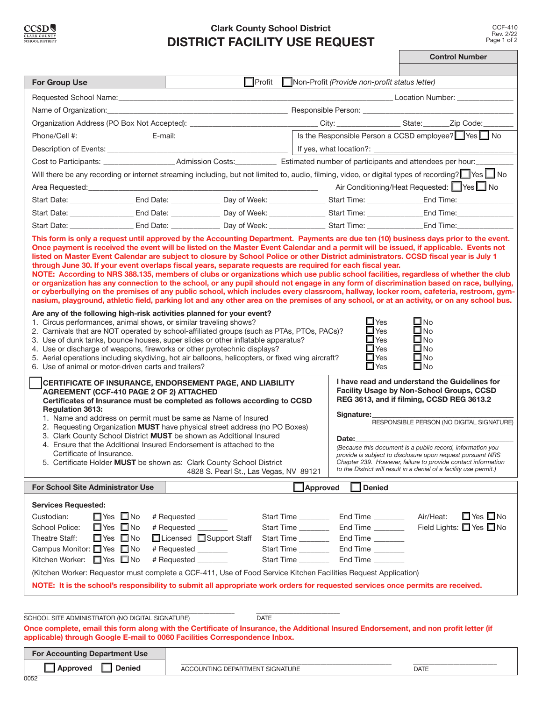$0052$ 

# **Clark County School District DISTRICT FACILITY USE REQUEST**

|                                                                                                                                                                                                                                                                                                                                                                                                                                                                                                                                                                                                                                                                          |               |                                                                                                                                                                                                                                                                                                                                                                                                                                            |                                                                                                                                                                                                                                |                                                                      |                                                                                                                                                                                                  | <b>Control Number</b>                                                                                                                                                                                                                                                                                                                                                                                                                                                                                                                                                                                                                                                                                                                                                         |
|--------------------------------------------------------------------------------------------------------------------------------------------------------------------------------------------------------------------------------------------------------------------------------------------------------------------------------------------------------------------------------------------------------------------------------------------------------------------------------------------------------------------------------------------------------------------------------------------------------------------------------------------------------------------------|---------------|--------------------------------------------------------------------------------------------------------------------------------------------------------------------------------------------------------------------------------------------------------------------------------------------------------------------------------------------------------------------------------------------------------------------------------------------|--------------------------------------------------------------------------------------------------------------------------------------------------------------------------------------------------------------------------------|----------------------------------------------------------------------|--------------------------------------------------------------------------------------------------------------------------------------------------------------------------------------------------|-------------------------------------------------------------------------------------------------------------------------------------------------------------------------------------------------------------------------------------------------------------------------------------------------------------------------------------------------------------------------------------------------------------------------------------------------------------------------------------------------------------------------------------------------------------------------------------------------------------------------------------------------------------------------------------------------------------------------------------------------------------------------------|
|                                                                                                                                                                                                                                                                                                                                                                                                                                                                                                                                                                                                                                                                          |               |                                                                                                                                                                                                                                                                                                                                                                                                                                            |                                                                                                                                                                                                                                |                                                                      |                                                                                                                                                                                                  |                                                                                                                                                                                                                                                                                                                                                                                                                                                                                                                                                                                                                                                                                                                                                                               |
| <b>For Group Use</b>                                                                                                                                                                                                                                                                                                                                                                                                                                                                                                                                                                                                                                                     |               | $\Box$ Profit<br>Non-Profit (Provide non-profit status letter)                                                                                                                                                                                                                                                                                                                                                                             |                                                                                                                                                                                                                                |                                                                      |                                                                                                                                                                                                  |                                                                                                                                                                                                                                                                                                                                                                                                                                                                                                                                                                                                                                                                                                                                                                               |
| Requested School Name: Name and the state of the state of the state of the state of the state of the state of the state of the state of the state of the state of the state of the state of the state of the state of the stat                                                                                                                                                                                                                                                                                                                                                                                                                                           |               |                                                                                                                                                                                                                                                                                                                                                                                                                                            |                                                                                                                                                                                                                                |                                                                      |                                                                                                                                                                                                  | <b>Example 2018</b> Location Number:                                                                                                                                                                                                                                                                                                                                                                                                                                                                                                                                                                                                                                                                                                                                          |
| Name of Organization: Name of Organization:                                                                                                                                                                                                                                                                                                                                                                                                                                                                                                                                                                                                                              |               |                                                                                                                                                                                                                                                                                                                                                                                                                                            |                                                                                                                                                                                                                                |                                                                      |                                                                                                                                                                                                  |                                                                                                                                                                                                                                                                                                                                                                                                                                                                                                                                                                                                                                                                                                                                                                               |
| Organization Address (PO Box Not Accepted): _______________________________City: ________________State: ______Zip Code:                                                                                                                                                                                                                                                                                                                                                                                                                                                                                                                                                  |               |                                                                                                                                                                                                                                                                                                                                                                                                                                            |                                                                                                                                                                                                                                |                                                                      |                                                                                                                                                                                                  |                                                                                                                                                                                                                                                                                                                                                                                                                                                                                                                                                                                                                                                                                                                                                                               |
| Phone/Cell #: ___________________________E-mail: _______________________________                                                                                                                                                                                                                                                                                                                                                                                                                                                                                                                                                                                         |               |                                                                                                                                                                                                                                                                                                                                                                                                                                            |                                                                                                                                                                                                                                | Is the Responsible Person a CCSD employee? Yes No                    |                                                                                                                                                                                                  |                                                                                                                                                                                                                                                                                                                                                                                                                                                                                                                                                                                                                                                                                                                                                                               |
|                                                                                                                                                                                                                                                                                                                                                                                                                                                                                                                                                                                                                                                                          |               |                                                                                                                                                                                                                                                                                                                                                                                                                                            |                                                                                                                                                                                                                                |                                                                      |                                                                                                                                                                                                  |                                                                                                                                                                                                                                                                                                                                                                                                                                                                                                                                                                                                                                                                                                                                                                               |
|                                                                                                                                                                                                                                                                                                                                                                                                                                                                                                                                                                                                                                                                          |               |                                                                                                                                                                                                                                                                                                                                                                                                                                            |                                                                                                                                                                                                                                |                                                                      |                                                                                                                                                                                                  |                                                                                                                                                                                                                                                                                                                                                                                                                                                                                                                                                                                                                                                                                                                                                                               |
|                                                                                                                                                                                                                                                                                                                                                                                                                                                                                                                                                                                                                                                                          |               |                                                                                                                                                                                                                                                                                                                                                                                                                                            |                                                                                                                                                                                                                                |                                                                      |                                                                                                                                                                                                  | Will there be any recording or internet streaming including, but not limited to, audio, filming, video, or digital types of recording? Set No                                                                                                                                                                                                                                                                                                                                                                                                                                                                                                                                                                                                                                 |
| Area Requested: New York 2014                                                                                                                                                                                                                                                                                                                                                                                                                                                                                                                                                                                                                                            |               | the control of the control of the control                                                                                                                                                                                                                                                                                                                                                                                                  |                                                                                                                                                                                                                                | the control of the control of the con-                               |                                                                                                                                                                                                  | Air Conditioning/Heat Requested: Yes No                                                                                                                                                                                                                                                                                                                                                                                                                                                                                                                                                                                                                                                                                                                                       |
|                                                                                                                                                                                                                                                                                                                                                                                                                                                                                                                                                                                                                                                                          |               |                                                                                                                                                                                                                                                                                                                                                                                                                                            |                                                                                                                                                                                                                                |                                                                      |                                                                                                                                                                                                  |                                                                                                                                                                                                                                                                                                                                                                                                                                                                                                                                                                                                                                                                                                                                                                               |
|                                                                                                                                                                                                                                                                                                                                                                                                                                                                                                                                                                                                                                                                          |               |                                                                                                                                                                                                                                                                                                                                                                                                                                            |                                                                                                                                                                                                                                |                                                                      |                                                                                                                                                                                                  |                                                                                                                                                                                                                                                                                                                                                                                                                                                                                                                                                                                                                                                                                                                                                                               |
|                                                                                                                                                                                                                                                                                                                                                                                                                                                                                                                                                                                                                                                                          |               |                                                                                                                                                                                                                                                                                                                                                                                                                                            | Start Date: Care Lines Control of Lines Control of Meek: Care Lines Control of Meek: Care Lines Control of Meek: Care Lines Control of Meek: Care Lines Control of Meek: Care Lines Control of Meek: Care Lines Control of Mee |                                                                      |                                                                                                                                                                                                  |                                                                                                                                                                                                                                                                                                                                                                                                                                                                                                                                                                                                                                                                                                                                                                               |
| Are any of the following high-risk activities planned for your event?<br>1. Circus performances, animal shows, or similar traveling shows?<br>2. Carnivals that are NOT operated by school-affiliated groups (such as PTAs, PTOs, PACs)?<br>3. Use of dunk tanks, bounce houses, super slides or other inflatable apparatus?<br>4. Use or discharge of weapons, fireworks or other pyrotechnic displays?<br>5. Aerial operations including skydiving, hot air balloons, helicopters, or fixed wing aircraft?<br>6. Use of animal or motor-driven carts and trailers?<br>AGREEMENT (CCF-410 PAGE 2 OF 2) ATTACHED<br><b>Regulation 3613:</b><br>Certificate of Insurance. |               | <b>CERTIFICATE OF INSURANCE, ENDORSEMENT PAGE, AND LIABILITY</b><br>Certificates of Insurance must be completed as follows according to CCSD<br>1. Name and address on permit must be same as Name of Insured<br>2. Requesting Organization MUST have physical street address (no PO Boxes)<br>3. Clark County School District MUST be shown as Additional Insured<br>4. Ensure that the Additional Insured Endorsement is attached to the |                                                                                                                                                                                                                                |                                                                      | $\square$ Yes<br>$\square$ Yes<br>$\square$ Yes<br>$\square$ Yes<br>$\Box$ Yes<br>$\Box$ Yes<br>Signature:<br>Date:                                                                              | or organization has any connection to the school, or any pupil should not engage in any form of discrimination based on race, bullying,<br>or cyberbullying on the premises of any public school, which includes every classroom, hallway, locker room, cafeteria, restroom, gym-<br>nasium, playground, athletic field, parking lot and any other area on the premises of any school, or at an activity, or on any school bus.<br>$\square$ No<br>∐ No<br>$\square$ No<br>$\square$ No<br>$\square$ No<br>$\square$ No<br>I have read and understand the Guidelines for<br>Facility Usage by Non-School Groups, CCSD<br>REG 3613, and if filming, CCSD REG 3613.2<br>RESPONSIBLE PERSON (NO DIGITAL SIGNATURE)<br>(Because this document is a public record, information you |
| 5. Certificate Holder MUST be shown as: Clark County School District<br>4828 S. Pearl St., Las Vegas, NV 89121                                                                                                                                                                                                                                                                                                                                                                                                                                                                                                                                                           |               |                                                                                                                                                                                                                                                                                                                                                                                                                                            |                                                                                                                                                                                                                                |                                                                      | provide is subject to disclosure upon request pursuant NRS<br>Chapter 239. However, failure to provide contact information<br>to the District will result in a denial of a facility use permit.) |                                                                                                                                                                                                                                                                                                                                                                                                                                                                                                                                                                                                                                                                                                                                                                               |
| <b>For School Site Administrator Use</b>                                                                                                                                                                                                                                                                                                                                                                                                                                                                                                                                                                                                                                 |               |                                                                                                                                                                                                                                                                                                                                                                                                                                            |                                                                                                                                                                                                                                | <b>Approved</b>                                                      | <b>Denied</b>                                                                                                                                                                                    |                                                                                                                                                                                                                                                                                                                                                                                                                                                                                                                                                                                                                                                                                                                                                                               |
| <b>Services Requested:</b><br>$\square$ Yes $\square$ No<br>Custodian:<br>$\Box$ Yes $\Box$ No<br>School Police:<br>$\Box$ Yes $\Box$ No<br>Theatre Staff:<br>Campus Monitor: □ Yes □ No<br>Kitchen Worker: □ Yes □ No<br>(Kitchen Worker: Requestor must complete a CCF-411, Use of Food Service Kitchen Facilities Request Application)<br>NOTE: It is the school's responsibility to submit all appropriate work orders for requested services once permits are received.<br>SCHOOL SITE ADMINISTRATOR (NO DIGITAL SIGNATURE)                                                                                                                                         |               | # Requested _______<br># Requested<br>□Licensed □ Support Staff<br># Requested _______<br># Requested ________                                                                                                                                                                                                                                                                                                                             | <b>DATE</b>                                                                                                                                                                                                                    | Start Time _______<br>Start Time<br>Start Time<br>Start Time _______ | End Time _______<br>End Time _______<br>End Time ________<br>End Time<br>Start Time _______________ End Time _________                                                                           | $\Box$ Yes $\Box$ No<br>Air/Heat:<br>Field Lights: □ Yes □ No                                                                                                                                                                                                                                                                                                                                                                                                                                                                                                                                                                                                                                                                                                                 |
| applicable) through Google E-mail to 0060 Facilities Correspondence Inbox.                                                                                                                                                                                                                                                                                                                                                                                                                                                                                                                                                                                               |               |                                                                                                                                                                                                                                                                                                                                                                                                                                            |                                                                                                                                                                                                                                |                                                                      |                                                                                                                                                                                                  | Once complete, email this form along with the Certificate of Insurance, the Additional Insured Endorsement, and non profit letter (if                                                                                                                                                                                                                                                                                                                                                                                                                                                                                                                                                                                                                                         |
| <b>For Accounting Department Use</b>                                                                                                                                                                                                                                                                                                                                                                                                                                                                                                                                                                                                                                     |               |                                                                                                                                                                                                                                                                                                                                                                                                                                            |                                                                                                                                                                                                                                |                                                                      |                                                                                                                                                                                                  |                                                                                                                                                                                                                                                                                                                                                                                                                                                                                                                                                                                                                                                                                                                                                                               |
| Approved                                                                                                                                                                                                                                                                                                                                                                                                                                                                                                                                                                                                                                                                 | <b>Denied</b> | ACCOUNTING DEPARTMENT SIGNATURE                                                                                                                                                                                                                                                                                                                                                                                                            |                                                                                                                                                                                                                                |                                                                      |                                                                                                                                                                                                  | <b>DATE</b>                                                                                                                                                                                                                                                                                                                                                                                                                                                                                                                                                                                                                                                                                                                                                                   |
|                                                                                                                                                                                                                                                                                                                                                                                                                                                                                                                                                                                                                                                                          |               |                                                                                                                                                                                                                                                                                                                                                                                                                                            |                                                                                                                                                                                                                                |                                                                      |                                                                                                                                                                                                  |                                                                                                                                                                                                                                                                                                                                                                                                                                                                                                                                                                                                                                                                                                                                                                               |